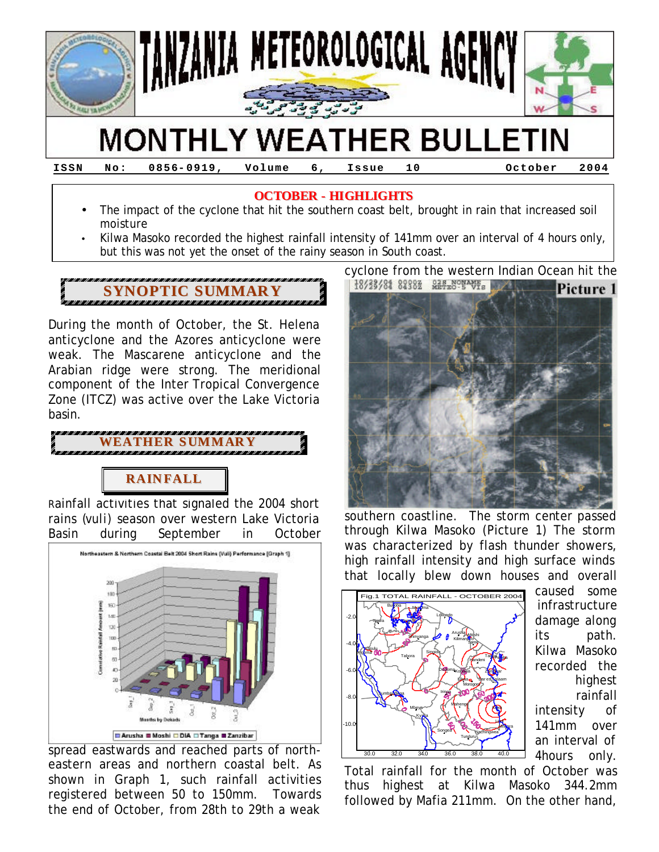

### **OCTOBER - HIGHLIGHTS**

**ISSN No: 0856- 0919, Volume 6, Issue 10 October 2004**

- The impact of the cyclone that hit the southern coast belt, brought in rain that increased soil moisture
- Kilwa Masoko recorded the highest rainfall intensity of 141mm over an interval of 4 hours only, but this was not yet the onset of the rainy season in South coast.

# **SYNOPTIC SUMMARY**

During the month of October, the St. Helena anticyclone and the Azores anticyclone were weak. The Mascarene anticyclone and the Arabian ridge were strong. The meridional component of the Inter Tropical Convergence Zone (ITCZ) was active over the Lake Victoria basin.

**RAIN FALL WEATHER SUMMAR Y**

Rainfall activities that signaled the 2004 short rains (*vuli*) season over western Lake Victoria Basin during September in October



spread eastwards and reached parts of northeastern areas and northern coastal belt. As shown in Graph 1, such rainfall activities registered between 50 to 150mm. Towards the end of October, from 28th to 29th a weak

cyclone from the western Indian Ocean hit the 18/23/81 82382 METEC-5 VTs



southern coastline. The storm center passed through Kilwa Masoko (Picture 1) The storm was characterized by flash thunder showers, high rainfall intensity and high surface winds that locally blew down houses and overall



caused some infrastructure damage along its path. Kilwa Masoko recorded the highest rainfall intensity of 141mm over an interval of 4hours only.

Total rainfall for the month of October was thus highest at Kilwa Masoko 344.2mm followed by Mafia 211mm. On the other hand,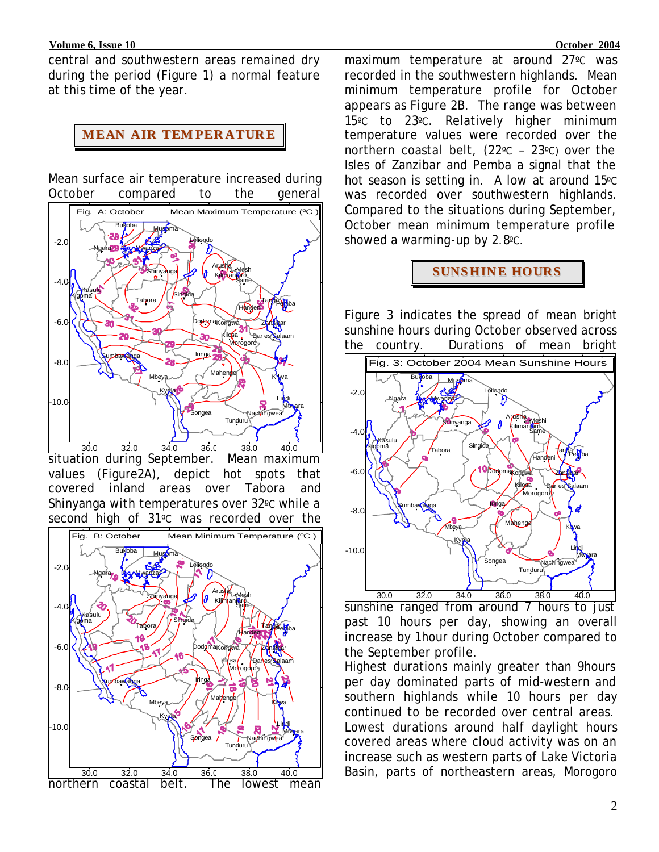### **Volume 6, Issue 10 October 2004**

### central and southwestern areas remained dry during the period (Figure 1) a normal feature at this time of the year.

# **MEAN AIR TEM PER ATUR E**

Mean surface air temperature increased during October compared to the general



situation during September. Mean maximum values (Figure2A), depict hot spots that covered inland areas over Tabora and Shinyanga with temperatures over 32ºC while a second high of 31ºC was recorded over the



maximum temperature at around 27ºC was recorded in the southwestern highlands. Mean minimum temperature profile for October appears as Figure 2B. The range was between 15ºC to 23ºC. Relatively higher minimum temperature values were recorded over the northern coastal belt, (22ºC – 23ºC) over the Isles of Zanzibar and Pemba a signal that the hot season is setting in. A low at around 15ºC was recorded over southwestern highlands. Compared to the situations during September, October mean minimum temperature profile showed a warming-up by 2.8ºC.

**SUNSHIN E HOURS**

Figure 3 indicates the spread of mean bright sunshine hours during October observed across the country. Durations of mean bright



sunshine ranged from around 7 hours to just past 10 hours per day, showing an overall increase by 1hour during October compared to the September profile.

Highest durations mainly greater than 9hours per day dominated parts of mid-western and southern highlands while 10 hours per day continued to be recorded over central areas. Lowest durations around half daylight hours covered areas where cloud activity was on an increase such as western parts of Lake Victoria Basin, parts of northeastern areas, Morogoro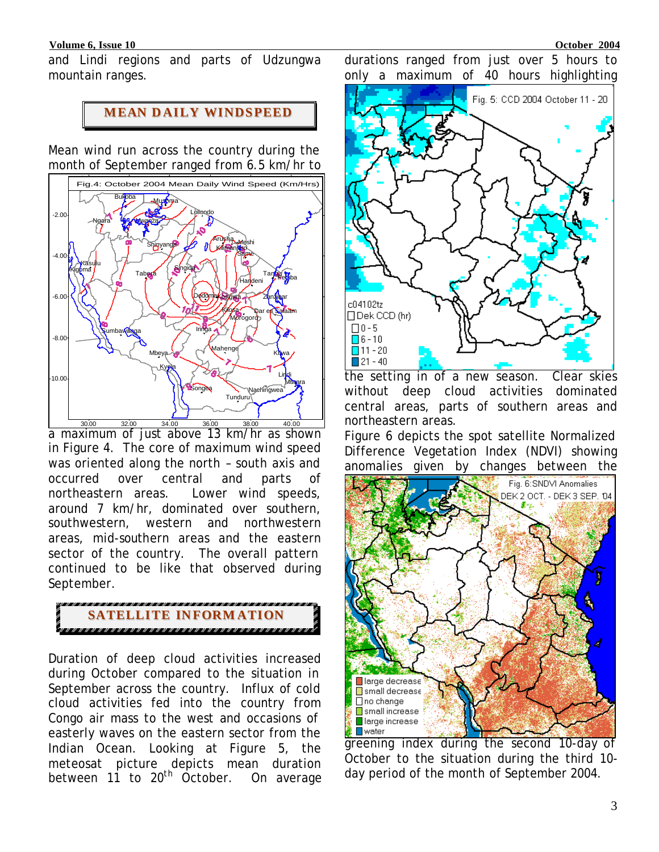### **Volume 6, Issue 10 October 2004**

and Lindi regions and parts of Udzungwa mountain ranges.

# **MEAN D AILY WINDSPEED**

Mean wind run across the country during the month of September ranged from 6.5 km/hr to



<u>30.00 32.00 34.00 36.00 38.00 40.00</u><br>a maximum of just above 13 km/hr as shown in Figure 4. The core of maximum wind speed was oriented along the north – south axis and occurred over central and parts of northeastern areas. Lower wind speeds, around 7 km/hr, dominated over southern, southwestern, western and northwestern areas, mid-southern areas and the eastern sector of the country. The overall pattern continued to be like that observed during September.



Duration of deep cloud activities increased during October compared to the situation in September across the country. Influx of cold cloud activities fed into the country from Congo air mass to the west and occasions of easterly waves on the eastern sector from the Indian Ocean. Looking at Figure 5, the meteosat picture depicts mean duration between  $11$  to  $20<sup>th</sup>$  October. On average durations ranged from just over 5 hours to only a maximum of 40 hours highlighting



the setting in of a new season. Clear skies without deep cloud activities dominated central areas, parts of southern areas and northeastern areas.

Figure 6 depicts the spot satellite Normalized Difference Vegetation Index (NDVI) showing anomalies given by changes between the



greening index during the second 10-day of October to the situation during the third 10 day period of the month of September 2004.